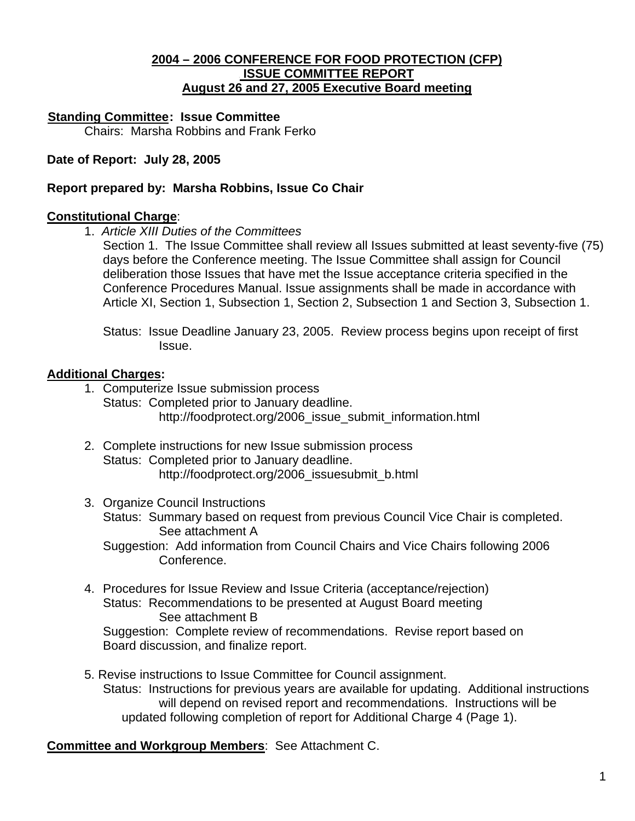### <sup>U</sup>**2004 – 2006 CONFERENCE FOR FOOD PROTECTION (CFP)** <sup>U</sup> **ISSUE COMMITTEE REPORT** <sup>U</sup>**August 26 and 27, 2005 Executive Board meeting**

### **Standing Committee: Issue Committee**

Chairs: Marsha Robbins and Frank Ferko

### **Date of Report: July 28, 2005**

### **Report prepared by: Marsha Robbins, Issue Co Chair**

#### **Constitutional Charge**:

1. *Article XIII Duties of the Committees*

Section 1. The Issue Committee shall review all Issues submitted at least seventy-five (75) days before the Conference meeting. The Issue Committee shall assign for Council deliberation those Issues that have met the Issue acceptance criteria specified in the Conference Procedures Manual. Issue assignments shall be made in accordance with Article XI, Section 1, Subsection 1, Section 2, Subsection 1 and Section 3, Subsection 1.

 Status: Issue Deadline January 23, 2005. Review process begins upon receipt of first Issue.

### **Additional Charges:**

- 1. Computerize Issue submission process Status: Completed prior to January deadline. http://foodprotect.org/2006\_issue\_submit\_information.html
- 2. Complete instructions for new Issue submission process Status: Completed prior to January deadline. http://foodprotect.org/2006\_issuesubmit\_b.html
- 3. Organize Council Instructions Status: Summary based on request from previous Council Vice Chair is completed. See attachment A Suggestion: Add information from Council Chairs and Vice Chairs following 2006 Conference.
- 4. Procedures for Issue Review and Issue Criteria (acceptance/rejection) Status: Recommendations to be presented at August Board meeting See attachment B Suggestion: Complete review of recommendations. Revise report based on

Board discussion, and finalize report.

 5. Revise instructions to Issue Committee for Council assignment. Status: Instructions for previous years are available for updating. Additional instructions will depend on revised report and recommendations. Instructions will be updated following completion of report for Additional Charge 4 (Page 1).

**Committee and Workgroup Members**: See Attachment C.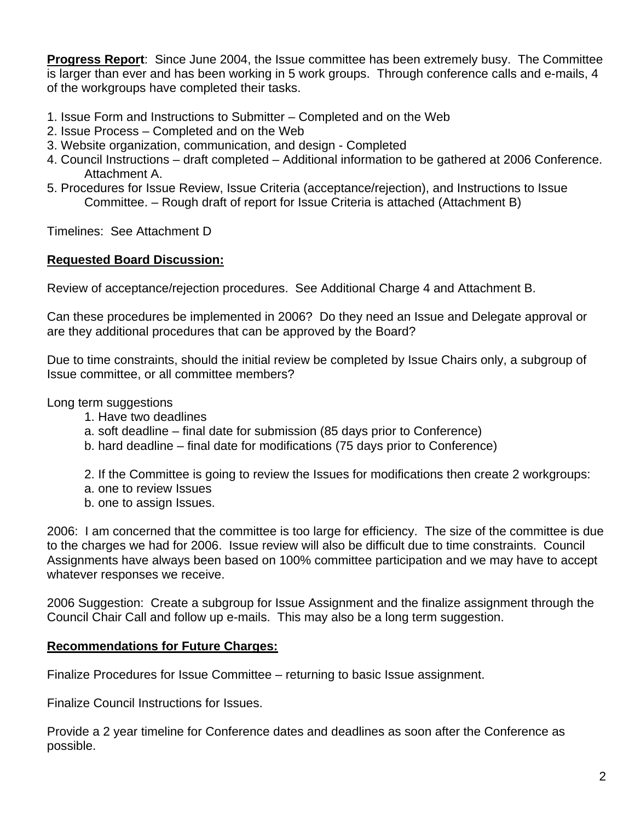**Progress Report**: Since June 2004, the Issue committee has been extremely busy. The Committee is larger than ever and has been working in 5 work groups. Through conference calls and e-mails, 4 of the workgroups have completed their tasks.

- 1. Issue Form and Instructions to Submitter Completed and on the Web
- 2. Issue Process Completed and on the Web
- 3. Website organization, communication, and design Completed
- 4. Council Instructions draft completed Additional information to be gathered at 2006 Conference. Attachment A.
- 5. Procedures for Issue Review, Issue Criteria (acceptance/rejection), and Instructions to Issue Committee. – Rough draft of report for Issue Criteria is attached (Attachment B)

Timelines: See Attachment D

### **Requested Board Discussion:**

Review of acceptance/rejection procedures. See Additional Charge 4 and Attachment B.

Can these procedures be implemented in 2006? Do they need an Issue and Delegate approval or are they additional procedures that can be approved by the Board?

Due to time constraints, should the initial review be completed by Issue Chairs only, a subgroup of Issue committee, or all committee members?

Long term suggestions

- 1. Have two deadlines
- a. soft deadline final date for submission (85 days prior to Conference)
- b. hard deadline final date for modifications (75 days prior to Conference)
- 2. If the Committee is going to review the Issues for modifications then create 2 workgroups:
- a. one to review Issues
- b. one to assign Issues.

2006: I am concerned that the committee is too large for efficiency. The size of the committee is due to the charges we had for 2006. Issue review will also be difficult due to time constraints. Council Assignments have always been based on 100% committee participation and we may have to accept whatever responses we receive.

2006 Suggestion: Create a subgroup for Issue Assignment and the finalize assignment through the Council Chair Call and follow up e-mails. This may also be a long term suggestion.

### **Recommendations for Future Charges:**

Finalize Procedures for Issue Committee – returning to basic Issue assignment.

Finalize Council Instructions for Issues.

Provide a 2 year timeline for Conference dates and deadlines as soon after the Conference as possible.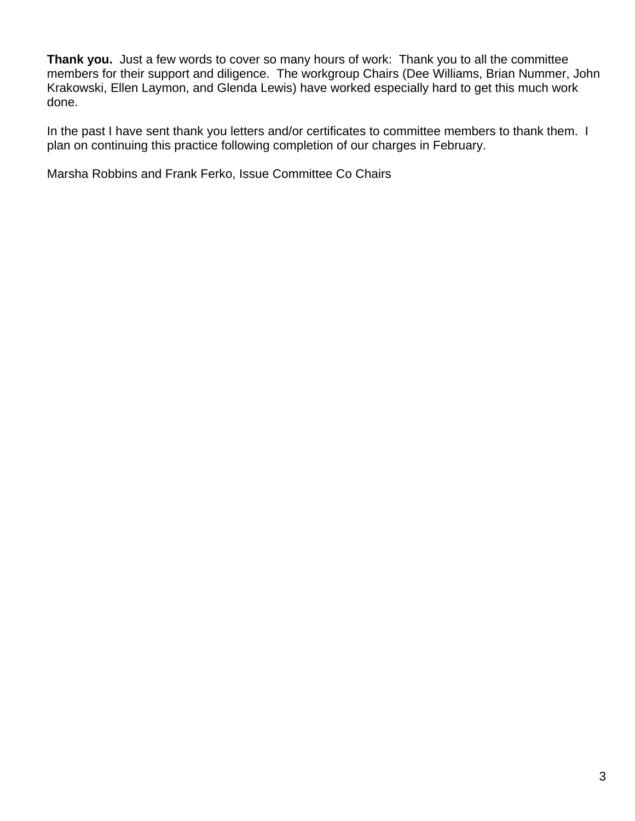**Thank you.** Just a few words to cover so many hours of work: Thank you to all the committee members for their support and diligence. The workgroup Chairs (Dee Williams, Brian Nummer, John Krakowski, Ellen Laymon, and Glenda Lewis) have worked especially hard to get this much work done.

In the past I have sent thank you letters and/or certificates to committee members to thank them. I plan on continuing this practice following completion of our charges in February.

Marsha Robbins and Frank Ferko, Issue Committee Co Chairs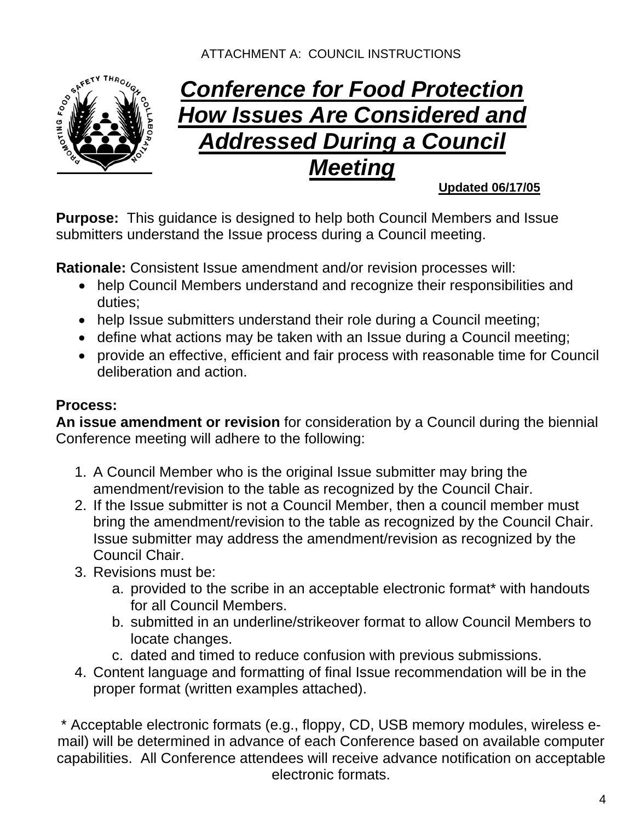# ATTACHMENT A: COUNCIL INSTRUCTIONS



# *Conference for Food Protection How Issues Are Considered and Addressed During a Council Meeting*

# **Updated 06/17/05**

**Purpose:** This guidance is designed to help both Council Members and Issue submitters understand the Issue process during a Council meeting.

**Rationale:** Consistent Issue amendment and/or revision processes will:

- help Council Members understand and recognize their responsibilities and duties;
- help Issue submitters understand their role during a Council meeting;
- define what actions may be taken with an Issue during a Council meeting;
- provide an effective, efficient and fair process with reasonable time for Council deliberation and action.

# **Process:**

**An issue amendment or revision** for consideration by a Council during the biennial Conference meeting will adhere to the following:

- 1. A Council Member who is the original Issue submitter may bring the amendment/revision to the table as recognized by the Council Chair.
- 2. If the Issue submitter is not a Council Member, then a council member must bring the amendment/revision to the table as recognized by the Council Chair. Issue submitter may address the amendment/revision as recognized by the Council Chair.
- 3. Revisions must be:
	- a. provided to the scribe in an acceptable electronic format\* with handouts for all Council Members.
	- b. submitted in an underline/strikeover format to allow Council Members to locate changes.
	- c. dated and timed to reduce confusion with previous submissions.
- 4. Content language and formatting of final Issue recommendation will be in the proper format (written examples attached).

\* Acceptable electronic formats (e.g., floppy, CD, USB memory modules, wireless email) will be determined in advance of each Conference based on available computer capabilities. All Conference attendees will receive advance notification on acceptable electronic formats.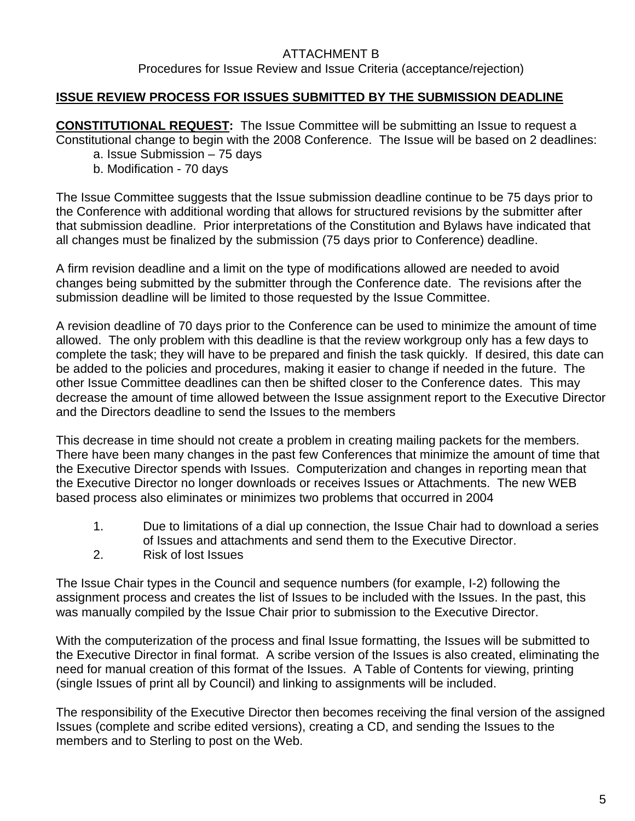### **ISSUE REVIEW PROCESS FOR ISSUES SUBMITTED BY THE SUBMISSION DEADLINE**

**CONSTITUTIONAL REQUEST:** The Issue Committee will be submitting an Issue to request a Constitutional change to begin with the 2008 Conference. The Issue will be based on 2 deadlines:

- a. Issue Submission 75 days
- b. Modification 70 days

The Issue Committee suggests that the Issue submission deadline continue to be 75 days prior to the Conference with additional wording that allows for structured revisions by the submitter after that submission deadline. Prior interpretations of the Constitution and Bylaws have indicated that all changes must be finalized by the submission (75 days prior to Conference) deadline.

A firm revision deadline and a limit on the type of modifications allowed are needed to avoid changes being submitted by the submitter through the Conference date. The revisions after the submission deadline will be limited to those requested by the Issue Committee.

A revision deadline of 70 days prior to the Conference can be used to minimize the amount of time allowed. The only problem with this deadline is that the review workgroup only has a few days to complete the task; they will have to be prepared and finish the task quickly. If desired, this date can be added to the policies and procedures, making it easier to change if needed in the future. The other Issue Committee deadlines can then be shifted closer to the Conference dates. This may decrease the amount of time allowed between the Issue assignment report to the Executive Director and the Directors deadline to send the Issues to the members

This decrease in time should not create a problem in creating mailing packets for the members. There have been many changes in the past few Conferences that minimize the amount of time that the Executive Director spends with Issues. Computerization and changes in reporting mean that the Executive Director no longer downloads or receives Issues or Attachments. The new WEB based process also eliminates or minimizes two problems that occurred in 2004

- 1. Due to limitations of a dial up connection, the Issue Chair had to download a series of Issues and attachments and send them to the Executive Director.
- 2. Risk of lost Issues

The Issue Chair types in the Council and sequence numbers (for example, I-2) following the assignment process and creates the list of Issues to be included with the Issues. In the past, this was manually compiled by the Issue Chair prior to submission to the Executive Director.

With the computerization of the process and final Issue formatting, the Issues will be submitted to the Executive Director in final format. A scribe version of the Issues is also created, eliminating the need for manual creation of this format of the Issues. A Table of Contents for viewing, printing (single Issues of print all by Council) and linking to assignments will be included.

The responsibility of the Executive Director then becomes receiving the final version of the assigned Issues (complete and scribe edited versions), creating a CD, and sending the Issues to the members and to Sterling to post on the Web.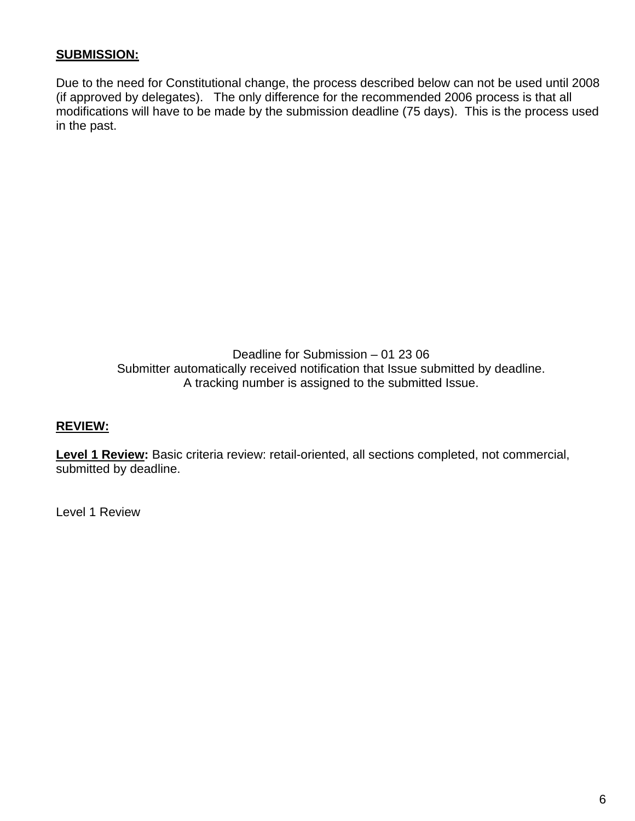### **SUBMISSION:**

Due to the need for Constitutional change, the process described below can not be used until 2008 (if approved by delegates). The only difference for the recommended 2006 process is that all modifications will have to be made by the submission deadline (75 days). This is the process used in the past.

> Deadline for Submission – 01 23 06 Submitter automatically received notification that Issue submitted by deadline. A tracking number is assigned to the submitted Issue.

### **REVIEW:**

Level 1 Review: Basic criteria review: retail-oriented, all sections completed, not commercial, submitted by deadline.

Level 1 Review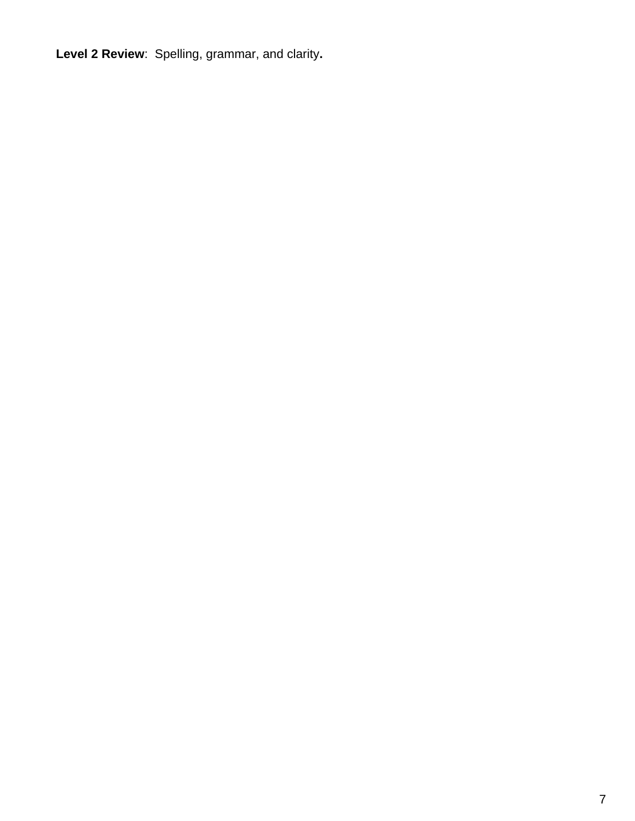**Level 2 Review**:Spelling, grammar, and clarity**.**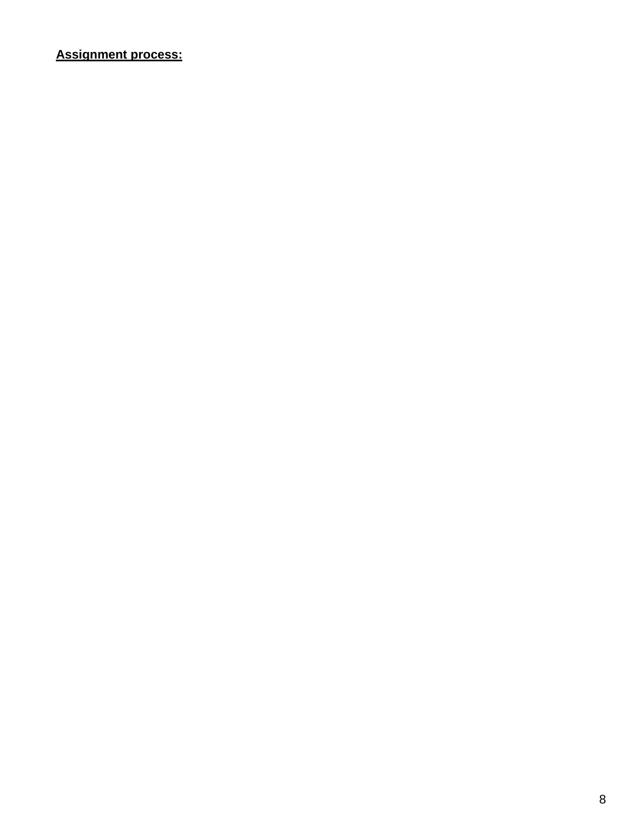# **Assignment process:**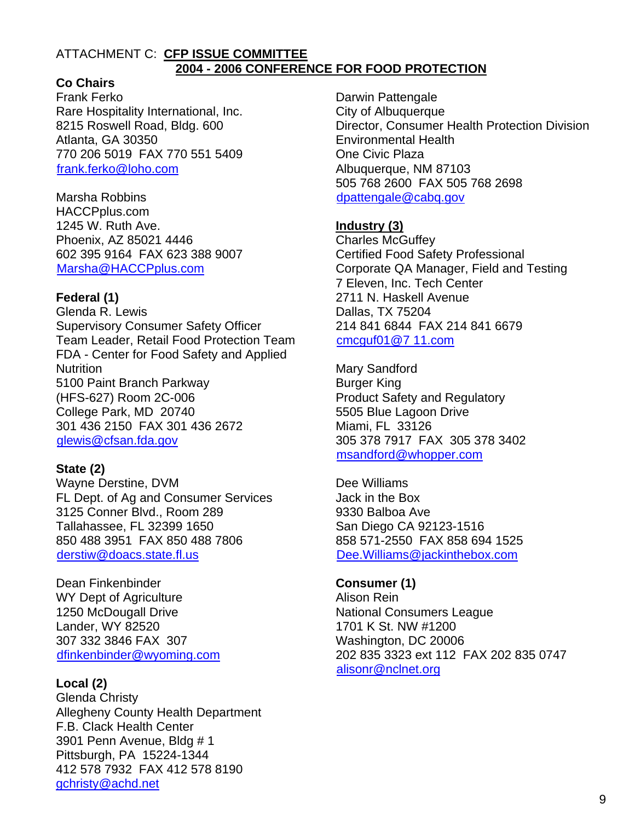#### ATTACHMENT C: **CFP ISSUE COMMITTEE 2004 - 2006 CONFERENCE FOR FOOD PROTECTION**

## **Co Chairs**

Frank Ferko Rare Hospitality International, Inc. 8215 Roswell Road, Bldg. 600 Atlanta, GA 30350 770 206 5019 FAX 770 551 5409 frank.ferko@loho.com

Marsha Robbins HACCPplus.com 1245 W. Ruth Ave. Phoenix, AZ 85021 4446 602 395 9164 FAX 623 388 9007 Marsha@HACCPplus.com

### **Federal (1)**

Glenda R. Lewis Supervisory Consumer Safety Officer Team Leader, Retail Food Protection Team FDA - Center for Food Safety and Applied **Nutrition** 5100 Paint Branch Parkway (HFS-627) Room 2C-006 College Park, MD 20740 301 436 2150 FAX 301 436 2672 glewis@cfsan.fda.gov

### **State (2)**

Wayne Derstine, DVM FL Dept. of Ag and Consumer Services 3125 Conner Blvd., Room 289 Tallahassee, FL 32399 1650 850 488 3951 FAX 850 488 7806 derstiw@doacs.state.fl.us

Dean Finkenbinder WY Dept of Agriculture 1250 McDougall Drive Lander, WY 82520 307 332 3846 FAX 307 dfinkenbinder@wyoming.com

### **Local (2)**

Glenda Christy Allegheny County Health Department F.B. Clack Health Center 3901 Penn Avenue, Bldg # 1 Pittsburgh, PA 15224-1344 412 578 7932 FAX 412 578 8190 gchristy@achd.net

Darwin Pattengale City of Albuquerque Director, Consumer Health Protection Division Environmental Health One Civic Plaza Albuquerque, NM 87103 505 768 2600 FAX 505 768 2698 dpattengale@cabq.gov

### **Industry (3)**

Charles McGuffey Certified Food Safety Professional Corporate QA Manager, Field and Testing 7 Eleven, Inc. Tech Center 2711 N. Haskell Avenue Dallas, TX 75204 214 841 6844 FAX 214 841 6679  $cmc$ uf01 $@7$  11.com

Mary Sandford Burger King Product Safety and Regulatory 5505 Blue Lagoon Drive Miami, FL 33126 305 378 7917 FAX 305 378 3402 msandford@whopper.com

Dee Williams Jack in the Box 9330 Balboa Ave San Diego CA 92123-1516 858 571-2550 FAX 858 694 1525 Dee.Williams@iackinthebox.com

**Consumer (1)**  Alison Rein National Consumers League 1701 K St. NW #1200 Washington, DC 20006 202 835 3323 ext 112 FAX 202 835 0747 alisonr@nclnet.org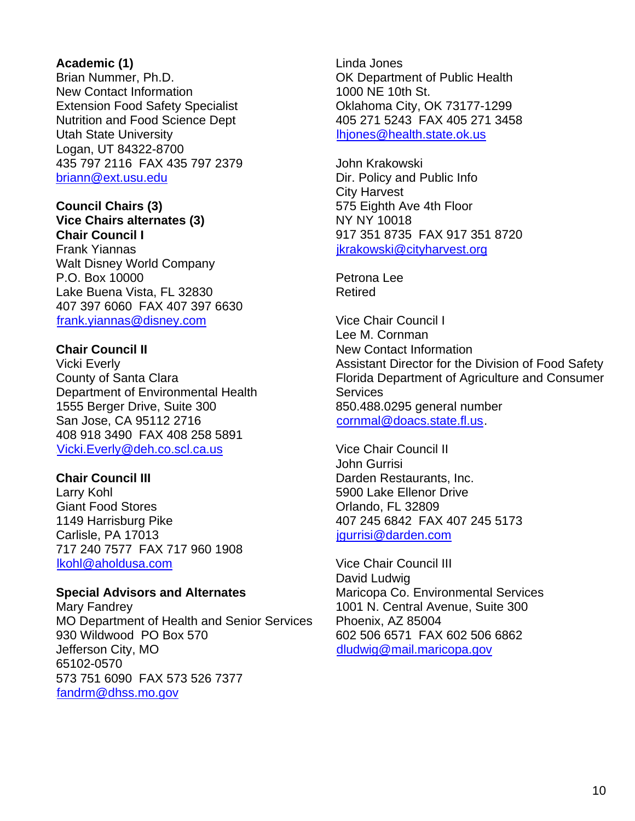### **Academic (1)**

Brian Nummer, Ph.D. New Contact Information Extension Food Safety Specialist Nutrition and Food Science Dept Utah State University Logan, UT 84322-8700 435 797 2116 FAX 435 797 2379 briann@ext.usu.edu

#### **Council Chairs (3) Vice Chairs alternates (3) Chair Council I**

Frank Yiannas Walt Disney World Company P.O. Box 10000 Lake Buena Vista, FL 32830 407 397 6060 FAX 407 397 6630 frank.yiannas@disney.com

### **Chair Council II**

Vicki Everly County of Santa Clara Department of Environmental Health 1555 Berger Drive, Suite 300 San Jose, CA 95112 2716 408 918 3490 FAX 408 258 5891 Vicki.Everly@deh.co.scl.ca.us

### **Chair Council III**

Larry Kohl Giant Food Stores 1149 Harrisburg Pike Carlisle, PA 17013 717 240 7577 FAX 717 960 1908 lkohl@aholdusa.com

### **Special Advisors and Alternates**

Mary Fandrey MO Department of Health and Senior Services 930 Wildwood PO Box 570 Jefferson City, MO 65102-0570 573 751 6090 FAX 573 526 7377 fandrm@dhss.mo.gov

Linda Jones OK Department of Public Health 1000 NE 10th St. Oklahoma City, OK 73177-1299 405 271 5243 FAX 405 271 3458 <sup>H</sup>lhjones@health.state.ok.us

John Krakowski Dir. Policy and Public Info City Harvest 575 Eighth Ave 4th Floor NY NY 10018 917 351 8735 FAX 917 351 8720 jkrakowski@cityharvest.org

Petrona Lee Retired

Vice Chair Council I Lee M. Cornman New Contact Information Assistant Director for the Division of Food Safety Florida Department of Agriculture and Consumer **Services** 850.488.0295 general number  $commal@doacs. state. flux.$ 

Vice Chair Council II John Gurrisi Darden Restaurants, Inc. 5900 Lake Ellenor Drive Orlando, FL 32809 407 245 6842 FAX 407 245 5173 igurrisi@darden.com

Vice Chair Council III David Ludwig Maricopa Co. Environmental Services 1001 N. Central Avenue, Suite 300 Phoenix, AZ 85004 602 506 6571 FAX 602 506 6862 dludwig@mail.maricopa.gov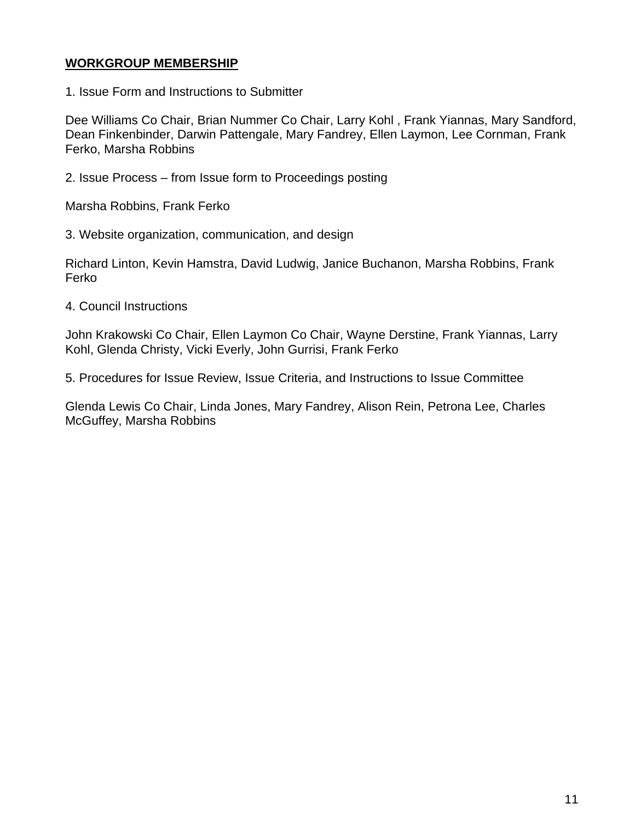### **WORKGROUP MEMBERSHIP**

1. Issue Form and Instructions to Submitter

Dee Williams Co Chair, Brian Nummer Co Chair, Larry Kohl , Frank Yiannas, Mary Sandford, Dean Finkenbinder, Darwin Pattengale, Mary Fandrey, Ellen Laymon, Lee Cornman, Frank Ferko, Marsha Robbins

2. Issue Process – from Issue form to Proceedings posting

Marsha Robbins, Frank Ferko

3. Website organization, communication, and design

Richard Linton, Kevin Hamstra, David Ludwig, Janice Buchanon, Marsha Robbins, Frank Ferko

4. Council Instructions

John Krakowski Co Chair, Ellen Laymon Co Chair, Wayne Derstine, Frank Yiannas, Larry Kohl, Glenda Christy, Vicki Everly, John Gurrisi, Frank Ferko

5. Procedures for Issue Review, Issue Criteria, and Instructions to Issue Committee

Glenda Lewis Co Chair, Linda Jones, Mary Fandrey, Alison Rein, Petrona Lee, Charles McGuffey, Marsha Robbins